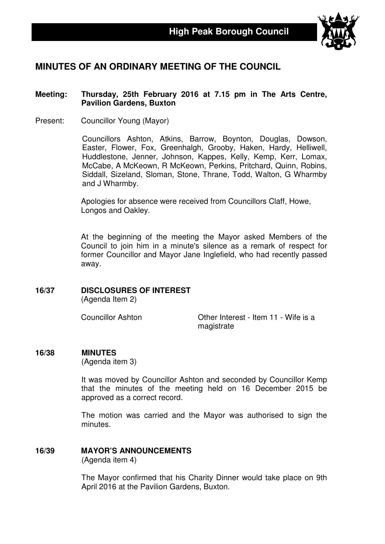

# **MINUTES OF AN ORDINARY MEETING OF THE COUNCIL**

#### **Meeting: Thursday, 25th February 2016 at 7.15 pm in The Arts Centre, Pavilion Gardens, Buxton**

Present: Councillor Young (Mayor)

Councillors Ashton, Atkins, Barrow, Boynton, Douglas, Dowson, Easter, Flower, Fox, Greenhalgh, Grooby, Haken, Hardy, Helliwell, Huddlestone, Jenner, Johnson, Kappes, Kelly, Kemp, Kerr, Lomax, McCabe, A McKeown, R McKeown, Perkins, Pritchard, Quinn, Robins, Siddall, Sizeland, Sloman, Stone, Thrane, Todd, Walton, G Wharmby and J Wharmby.

Apologies for absence were received from Councillors Claff, Howe, Longos and Oakley.

At the beginning of the meeting the Mayor asked Members of the Council to join him in a minute's silence as a remark of respect for former Councillor and Mayor Jane Inglefield, who had recently passed away.

# **16/37 DISCLOSURES OF INTEREST**

(Agenda Item 2)

Councillor Ashton Other Interest - Item 11 - Wife is a magistrate

#### **16/38 MINUTES**

(Agenda item 3)

It was moved by Councillor Ashton and seconded by Councillor Kemp that the minutes of the meeting held on 16 December 2015 be approved as a correct record.

The motion was carried and the Mayor was authorised to sign the minutes.

# **16/39 MAYOR'S ANNOUNCEMENTS**

(Agenda item 4)

The Mayor confirmed that his Charity Dinner would take place on 9th April 2016 at the Pavilion Gardens, Buxton.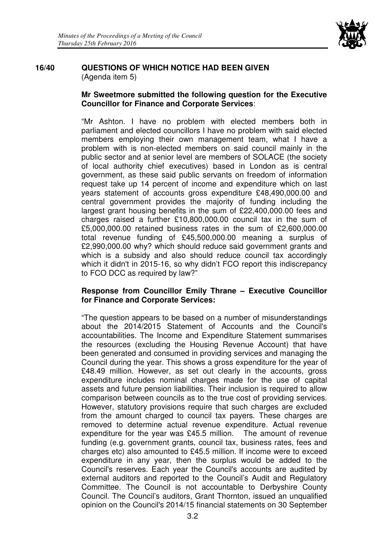

# **16/40 QUESTIONS OF WHICH NOTICE HAD BEEN GIVEN**  (Agenda item 5)

# **Mr Sweetmore submitted the following question for the Executive Councillor for Finance and Corporate Services**:

"Mr Ashton. I have no problem with elected members both in parliament and elected councillors I have no problem with said elected members employing their own management team, what I have a problem with is non-elected members on said council mainly in the public sector and at senior level are members of SOLACE (the society of local authority chief executives) based in London as is central government, as these said public servants on freedom of information request take up 14 percent of income and expenditure which on last years statement of accounts gross expenditure £48,490,000.00 and central government provides the majority of funding including the largest grant housing benefits in the sum of £22,400,000.00 fees and charges raised a further £10,800,000.00 council tax in the sum of £5,000,000.00 retained business rates in the sum of £2,600,000.00 total revenue funding of £45,500,000.00 meaning a surplus of £2,990,000.00 why? which should reduce said government grants and which is a subsidy and also should reduce council tax accordingly which it didn't in 2015-16, so why didn't FCO report this indiscrepancy to FCO DCC as required by law?"

# **Response from Councillor Emily Thrane – Executive Councillor for Finance and Corporate Services:**

"The question appears to be based on a number of misunderstandings about the 2014/2015 Statement of Accounts and the Council's accountabilities. The Income and Expenditure Statement summarises the resources (excluding the Housing Revenue Account) that have been generated and consumed in providing services and managing the Council during the year. This shows a gross expenditure for the year of £48.49 million. However, as set out clearly in the accounts, gross expenditure includes nominal charges made for the use of capital assets and future pension liabilities. Their inclusion is required to allow comparison between councils as to the true cost of providing services. However, statutory provisions require that such charges are excluded from the amount charged to council tax payers. These charges are removed to determine actual revenue expenditure. Actual revenue expenditure for the year was £45.5 million. The amount of revenue funding (e.g. government grants, council tax, business rates, fees and charges etc) also amounted to £45.5 million. If income were to exceed expenditure in any year, then the surplus would be added to the Council's reserves. Each year the Council's accounts are audited by external auditors and reported to the Council's Audit and Regulatory Committee. The Council is not accountable to Derbyshire County Council. The Council's auditors, Grant Thornton, issued an unqualified opinion on the Council's 2014/15 financial statements on 30 September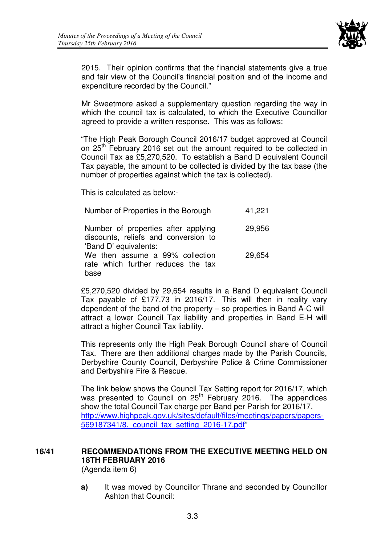

2015. Their opinion confirms that the financial statements give a true and fair view of the Council's financial position and of the income and expenditure recorded by the Council."

Mr Sweetmore asked a supplementary question regarding the way in which the council tax is calculated, to which the Executive Councillor agreed to provide a written response. This was as follows:

"The High Peak Borough Council 2016/17 budget approved at Council on 25<sup>th</sup> February 2016 set out the amount required to be collected in Council Tax as £5,270,520. To establish a Band D equivalent Council Tax payable, the amount to be collected is divided by the tax base (the number of properties against which the tax is collected).

This is calculated as below:-

| Number of Properties in the Borough                                                                  | 41,221 |
|------------------------------------------------------------------------------------------------------|--------|
| Number of properties after applying<br>discounts, reliefs and conversion to<br>'Band D' equivalents: | 29,956 |
| We then assume a 99% collection<br>rate which further reduces the tax<br>base                        | 29,654 |

£5,270,520 divided by 29,654 results in a Band D equivalent Council Tax payable of £177.73 in 2016/17. This will then in reality vary dependent of the band of the property – so properties in Band A-C will attract a lower Council Tax liability and properties in Band E-H will attract a higher Council Tax liability.

This represents only the High Peak Borough Council share of Council Tax. There are then additional charges made by the Parish Councils, Derbyshire County Council, Derbyshire Police & Crime Commissioner and Derbyshire Fire & Rescue.

The link below shows the Council Tax Setting report for 2016/17, which was presented to Council on  $25<sup>th</sup>$  February 2016. The appendices show the total Council Tax charge per Band per Parish for 2016/17. http://www.highpeak.gov.uk/sites/default/files/meetings/papers/papers-569187341/8. council tax setting 2016-17.pdf"

# **16/41 RECOMMENDATIONS FROM THE EXECUTIVE MEETING HELD ON 18TH FEBRUARY 2016**

(Agenda item 6)

**a)** It was moved by Councillor Thrane and seconded by Councillor Ashton that Council: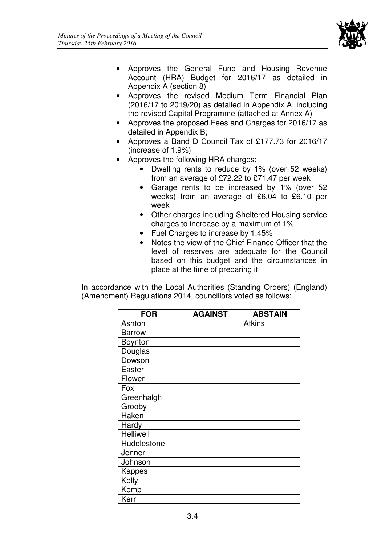

- Approves the General Fund and Housing Revenue Account (HRA) Budget for 2016/17 as detailed in Appendix A (section 8)
- Approves the revised Medium Term Financial Plan (2016/17 to 2019/20) as detailed in Appendix A, including the revised Capital Programme (attached at Annex A)
- Approves the proposed Fees and Charges for 2016/17 as detailed in Appendix B;
- Approves a Band D Council Tax of £177.73 for 2016/17 (increase of 1.9%)
- Approves the following HRA charges:-
	- Dwelling rents to reduce by 1% (over 52 weeks) from an average of £72.22 to £71.47 per week
	- Garage rents to be increased by 1% (over 52 weeks) from an average of £6.04 to £6.10 per week
	- Other charges including Sheltered Housing service charges to increase by a maximum of 1%
	- Fuel Charges to increase by 1.45%
	- Notes the view of the Chief Finance Officer that the level of reserves are adequate for the Council based on this budget and the circumstances in place at the time of preparing it

In accordance with the Local Authorities (Standing Orders) (England) (Amendment) Regulations 2014, councillors voted as follows:

| <b>FOR</b>       | <b>AGAINST</b> | <b>ABSTAIN</b> |
|------------------|----------------|----------------|
| Ashton           |                | <b>Atkins</b>  |
| <b>Barrow</b>    |                |                |
| Boynton          |                |                |
| Douglas          |                |                |
| Dowson           |                |                |
| Easter           |                |                |
| Flower           |                |                |
| Fox              |                |                |
| Greenhalgh       |                |                |
| Grooby           |                |                |
| Haken            |                |                |
| Hardy            |                |                |
| <b>Helliwell</b> |                |                |
| Huddlestone      |                |                |
| Jenner           |                |                |
| Johnson          |                |                |
| Kappes           |                |                |
| Kelly            |                |                |
| Kemp             |                |                |
| Kerr             |                |                |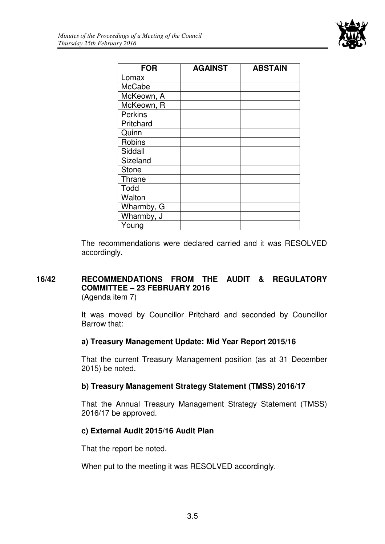

| <b>FOR</b>     | <b>AGAINST</b> | <b>ABSTAIN</b> |
|----------------|----------------|----------------|
| Lomax          |                |                |
| <b>McCabe</b>  |                |                |
| McKeown, A     |                |                |
| McKeown, R     |                |                |
| <b>Perkins</b> |                |                |
| Pritchard      |                |                |
| Quinn          |                |                |
| Robins         |                |                |
| Siddall        |                |                |
| Sizeland       |                |                |
| <b>Stone</b>   |                |                |
| Thrane         |                |                |
| Todd           |                |                |
| Walton         |                |                |
| Wharmby, G     |                |                |
| Wharmby, J     |                |                |
| Young          |                |                |

The recommendations were declared carried and it was RESOLVED accordingly.

# **16/42 RECOMMENDATIONS FROM THE AUDIT & REGULATORY COMMITTEE – 23 FEBRUARY 2016**

(Agenda item 7)

It was moved by Councillor Pritchard and seconded by Councillor Barrow that:

# **a) Treasury Management Update: Mid Year Report 2015/16**

That the current Treasury Management position (as at 31 December 2015) be noted.

# **b) Treasury Management Strategy Statement (TMSS) 2016/17**

That the Annual Treasury Management Strategy Statement (TMSS) 2016/17 be approved.

# **c) External Audit 2015/16 Audit Plan**

That the report be noted.

When put to the meeting it was RESOLVED accordingly.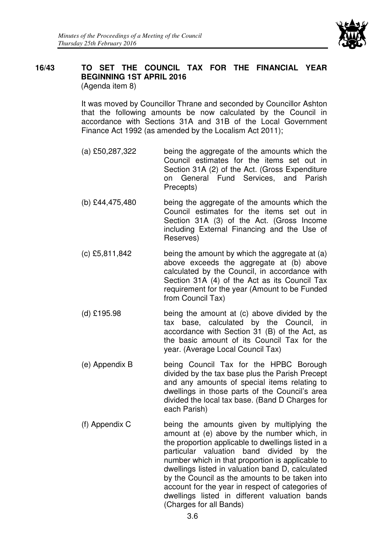

#### **16/43 TO SET THE COUNCIL TAX FOR THE FINANCIAL YEAR BEGINNING 1ST APRIL 2016** (Agenda item 8)

It was moved by Councillor Thrane and seconded by Councillor Ashton that the following amounts be now calculated by the Council in accordance with Sections 31A and 31B of the Local Government Finance Act 1992 (as amended by the Localism Act 2011);

- (a) £50,287,322 being the aggregate of the amounts which the Council estimates for the items set out in Section 31A (2) of the Act. (Gross Expenditure on General Fund Services, and Parish Precepts)
- (b) £44,475,480 being the aggregate of the amounts which the Council estimates for the items set out in Section 31A (3) of the Act. (Gross Income including External Financing and the Use of Reserves)
- (c) £5,811,842 being the amount by which the aggregate at (a) above exceeds the aggregate at (b) above calculated by the Council, in accordance with Section 31A (4) of the Act as its Council Tax requirement for the year (Amount to be Funded from Council Tax)
- (d) £195.98 being the amount at (c) above divided by the tax base, calculated by the Council, in accordance with Section 31 (B) of the Act, as the basic amount of its Council Tax for the year. (Average Local Council Tax)
- (e) Appendix B being Council Tax for the HPBC Borough divided by the tax base plus the Parish Precept and any amounts of special items relating to dwellings in those parts of the Council's area divided the local tax base. (Band D Charges for each Parish)
- (f) Appendix C being the amounts given by multiplying the amount at (e) above by the number which, in the proportion applicable to dwellings listed in a particular valuation band divided by the number which in that proportion is applicable to dwellings listed in valuation band D, calculated by the Council as the amounts to be taken into account for the year in respect of categories of dwellings listed in different valuation bands (Charges for all Bands)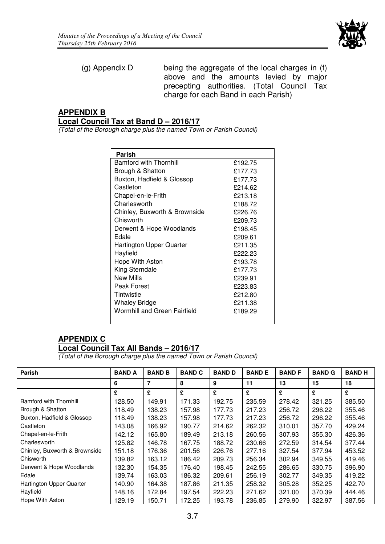

(g) Appendix D being the aggregate of the local charges in (f) above and the amounts levied by major precepting authorities. (Total Council Tax charge for each Band in each Parish)

# **APPENDIX B Local Council Tax at Band D – 2016/17**

(Total of the Borough charge plus the named Town or Parish Council)

| Parish                          |         |
|---------------------------------|---------|
| <b>Bamford with Thornhill</b>   | £192.75 |
| Brough & Shatton                | £177.73 |
| Buxton, Hadfield & Glossop      | £177.73 |
| Castleton                       | £214.62 |
| Chapel-en-le-Frith              | £213.18 |
| Charlesworth                    | £188.72 |
| Chinley, Buxworth & Brownside   | £226.76 |
| Chisworth                       | £209.73 |
| Derwent & Hope Woodlands        | £198.45 |
| Edale                           | £209.61 |
| <b>Hartington Upper Quarter</b> | £211.35 |
| Hayfield                        | £222.23 |
| Hope With Aston                 | £193.78 |
| King Sterndale                  | £177.73 |
| <b>New Mills</b>                | £239.91 |
| Peak Forest                     | £223.83 |
| Tintwistle                      | £212.80 |
| <b>Whaley Bridge</b>            | £211.38 |
| Wormhill and Green Fairfield    | £189.29 |
|                                 |         |

# **APPENDIX C Local Council Tax All Bands – 2016/17**

(Total of the Borough charge plus the named Town or Parish Council)

| Parish                        | <b>BAND A</b> | <b>BAND B</b> | <b>BAND C</b> | <b>BAND D</b> | <b>BANDE</b> | <b>BAND F</b> | <b>BAND G</b> | <b>BANDH</b> |
|-------------------------------|---------------|---------------|---------------|---------------|--------------|---------------|---------------|--------------|
|                               | 6             | 7             | 8             | 9             | 11           | 13            | 15            | 18           |
|                               | £             | £             | £             | £             | £            | £             | £             | £            |
| <b>Bamford with Thornhill</b> | 128.50        | 149.91        | 171.33        | 192.75        | 235.59       | 278.42        | 321.25        | 385.50       |
| Brough & Shatton              | 118.49        | 138.23        | 157.98        | 177.73        | 217.23       | 256.72        | 296.22        | 355.46       |
| Buxton, Hadfield & Glossop    | 118.49        | 138.23        | 157.98        | 177.73        | 217.23       | 256.72        | 296.22        | 355.46       |
| Castleton                     | 143.08        | 166.92        | 190.77        | 214.62        | 262.32       | 310.01        | 357.70        | 429.24       |
| Chapel-en-le-Frith            | 142.12        | 165.80        | 189.49        | 213.18        | 260.56       | 307.93        | 355.30        | 426.36       |
| Charlesworth                  | 125.82        | 146.78        | 167.75        | 188.72        | 230.66       | 272.59        | 314.54        | 377.44       |
| Chinley, Buxworth & Brownside | 151.18        | 176.36        | 201.56        | 226.76        | 277.16       | 327.54        | 377.94        | 453.52       |
| Chisworth                     | 139.82        | 163.12        | 186.42        | 209.73        | 256.34       | 302.94        | 349.55        | 419.46       |
| Derwent & Hope Woodlands      | 132.30        | 154.35        | 176.40        | 198.45        | 242.55       | 286.65        | 330.75        | 396.90       |
| Edale                         | 139.74        | 163.03        | 186.32        | 209.61        | 256.19       | 302.77        | 349.35        | 419.22       |
| Hartington Upper Quarter      | 140.90        | 164.38        | 187.86        | 211.35        | 258.32       | 305.28        | 352.25        | 422.70       |
| Hayfield                      | 148.16        | 172.84        | 197.54        | 222.23        | 271.62       | 321.00        | 370.39        | 444.46       |
| Hope With Aston               | 129.19        | 150.71        | 172.25        | 193.78        | 236.85       | 279.90        | 322.97        | 387.56       |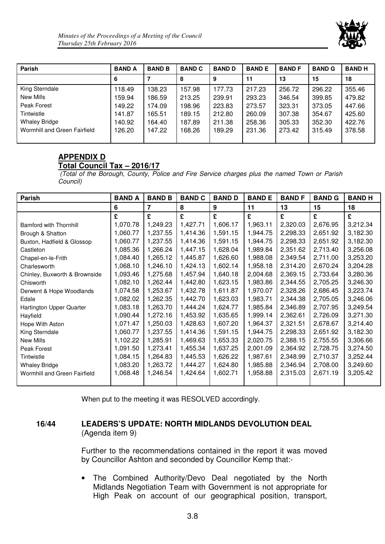

| Parish                       | <b>BAND A</b> | <b>BAND B</b> | <b>BAND C</b> | <b>BAND D</b> | <b>BANDE</b> | <b>BAND F</b> | <b>BAND G</b> | <b>BANDH</b> |
|------------------------------|---------------|---------------|---------------|---------------|--------------|---------------|---------------|--------------|
|                              | 6             |               | 8             | 9             | 11           | 13            | 15            | 18           |
| King Sterndale               | 118.49        | 138.23        | 157.98        | 177.73        | 217.23       | 256.72        | 296.22        | 355.46       |
| New Mills                    | 159.94        | 186.59        | 213.25        | 239.91        | 293.23       | 346.54        | 399.85        | 479.82       |
| Peak Forest                  | 149.22        | 174.09        | 198.96        | 223.83        | 273.57       | 323.31        | 373.05        | 447.66       |
| Tintwistle                   | 141.87        | 165.51        | 189.15        | 212.80        | 260.09       | 307.38        | 354.67        | 425.60       |
| <b>Whaley Bridge</b>         | 140.92        | 164.40        | 187.89        | 211.38        | 258.36       | 305.33        | 352.30        | 422.76       |
| Wormhill and Green Fairfield | 126.20        | 147.22        | 168.26        | 189.29        | 231.36       | 273.42        | 315.49        | 378.58       |
|                              |               |               |               |               |              |               |               |              |

### **APPENDIX D Total Council Tax – 2016/17**

(Total of the Borough, County, Police and Fire Service charges plus the named Town or Parish Council)

| Parish                        | <b>BAND A</b> | <b>BAND B</b> | <b>BAND C</b> | <b>BAND D</b> | <b>BANDE</b> | <b>BANDF</b> | <b>BAND G</b> | <b>BANDH</b> |
|-------------------------------|---------------|---------------|---------------|---------------|--------------|--------------|---------------|--------------|
|                               | 6             | 7             | 8             | 9             | 11           | 13           | 15            | 18           |
|                               | £             | £             | £             | £             | £            | £            | £             | £            |
| <b>Bamford with Thornhill</b> | 1,070.78      | 1,249.23      | 1,427.71      | 1,606.17      | 1,963.11     | 2,320.03     | 2,676.95      | 3,212.34     |
| Brough & Shatton              | 1,060.77      | 1,237.55      | 1,414.36      | 1,591.15      | 1,944.75     | 2,298.33     | 2,651.92      | 3,182.30     |
| Buxton, Hadfield & Glossop    | 1,060.77      | 1,237.55      | 1,414.36      | 1,591.15      | 1,944.75     | 2,298.33     | 2,651.92      | 3,182.30     |
| Castleton                     | 1,085.36      | 1,266.24      | 1,447.15      | 1,628.04      | 1,989.84     | 2,351.62     | 2,713.40      | 3,256.08     |
| Chapel-en-le-Frith            | 1,084.40      | 1,265.12      | 1,445.87      | 1,626.60      | 1,988.08     | 2,349.54     | 2,711.00      | 3,253.20     |
| Charlesworth                  | 1,068.10      | 1,246.10      | 1,424.13      | 1,602.14      | 1,958.18     | 2,314.20     | 2,670.24      | 3,204.28     |
| Chinley, Buxworth & Brownside | 1,093.46      | 1,275.68      | 1,457.94      | 1,640.18      | 2,004.68     | 2,369.15     | 2,733.64      | 3,280.36     |
| Chisworth                     | 1,082.10      | 1,262.44      | 1,442.80      | 1,623.15      | 1,983.86     | 2,344.55     | 2,705.25      | 3,246.30     |
| Derwent & Hope Woodlands      | 1,074.58      | 1,253.67      | 1,432.78      | 1,611.87      | 1,970.07     | 2,328.26     | 2,686.45      | 3,223.74     |
| Edale                         | 1,082.02      | 1,262.35      | 1,442.70      | 1,623.03      | 1,983.71     | 2,344.38     | 2,705.05      | 3,246.06     |
| Hartington Upper Quarter      | 1,083.18      | 1,263.70      | 1,444.24      | 1,624.77      | 1,985.84     | 2,346.89     | 2,707.95      | 3,249.54     |
| Hayfield                      | 1,090.44      | 1,272.16      | 1,453.92      | 1,635.65      | 1,999.14     | 2,362.61     | 2,726.09      | 3,271.30     |
| Hope With Aston               | 1,071.47      | 1,250.03      | 1,428.63      | 1,607.20      | 1,964.37     | 2,321.51     | 2,678.67      | 3,214.40     |
| King Sterndale                | 1,060.77      | 1,237.55      | 1,414.36      | 1,591.15      | 1,944.75     | 2,298.33     | 2,651.92      | 3,182.30     |
| New Mills                     | 1,102.22      | 1,285.91      | 1,469.63      | 1,653.33      | 2,020.75     | 2,388.15     | 2,755.55      | 3,306.66     |
| Peak Forest                   | 1,091.50      | 1,273.41      | 1,455.34      | 1,637.25      | 2,001.09     | 2,364.92     | 2,728.75      | 3,274.50     |
| Tintwistle                    | 1,084.15      | 1,264.83      | 1,445.53      | 1,626.22      | 1,987.61     | 2,348.99     | 2,710.37      | 3,252.44     |
| <b>Whaley Bridge</b>          | 1,083.20      | 1,263.72      | 1,444.27      | 1,624.80      | 1,985.88     | 2,346.94     | 2,708.00      | 3,249.60     |
| Wormhill and Green Fairfield  | 1,068.48      | 1,246.54      | 1,424.64      | 1,602.71      | 1,958.88     | 2,315.03     | 2,671.19      | 3,205.42     |

When put to the meeting it was RESOLVED accordingly.

# **16/44 LEADERS'S UPDATE: NORTH MIDLANDS DEVOLUTION DEAL**  (Agenda item 9)

Further to the recommendations contained in the report it was moved by Councillor Ashton and seconded by Councillor Kemp that:-

• The Combined Authority/Devo Deal negotiated by the North Midlands Negotiation Team with Government is not appropriate for High Peak on account of our geographical position, transport,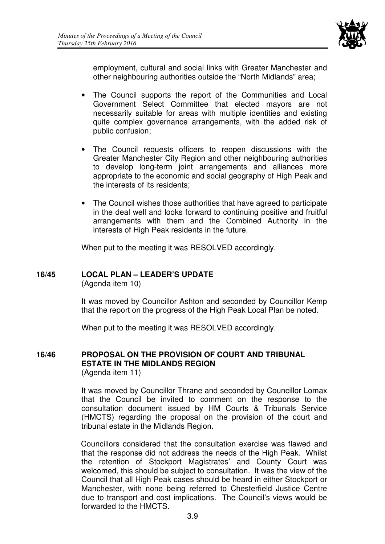

employment, cultural and social links with Greater Manchester and other neighbouring authorities outside the "North Midlands" area;

- The Council supports the report of the Communities and Local Government Select Committee that elected mayors are not necessarily suitable for areas with multiple identities and existing quite complex governance arrangements, with the added risk of public confusion;
- The Council requests officers to reopen discussions with the Greater Manchester City Region and other neighbouring authorities to develop long-term joint arrangements and alliances more appropriate to the economic and social geography of High Peak and the interests of its residents;
- The Council wishes those authorities that have agreed to participate in the deal well and looks forward to continuing positive and fruitful arrangements with them and the Combined Authority in the interests of High Peak residents in the future.

When put to the meeting it was RESOLVED accordingly.

# **16/45 LOCAL PLAN – LEADER'S UPDATE**

(Agenda item 10)

It was moved by Councillor Ashton and seconded by Councillor Kemp that the report on the progress of the High Peak Local Plan be noted.

When put to the meeting it was RESOLVED accordingly.

# **16/46 PROPOSAL ON THE PROVISION OF COURT AND TRIBUNAL ESTATE IN THE MIDLANDS REGION**

(Agenda item 11)

 It was moved by Councillor Thrane and seconded by Councillor Lomax that the Council be invited to comment on the response to the consultation document issued by HM Courts & Tribunals Service (HMCTS) regarding the proposal on the provision of the court and tribunal estate in the Midlands Region.

Councillors considered that the consultation exercise was flawed and that the response did not address the needs of the High Peak. Whilst the retention of Stockport Magistrates' and County Court was welcomed, this should be subject to consultation. It was the view of the Council that all High Peak cases should be heard in either Stockport or Manchester, with none being referred to Chesterfield Justice Centre due to transport and cost implications. The Council's views would be forwarded to the HMCTS.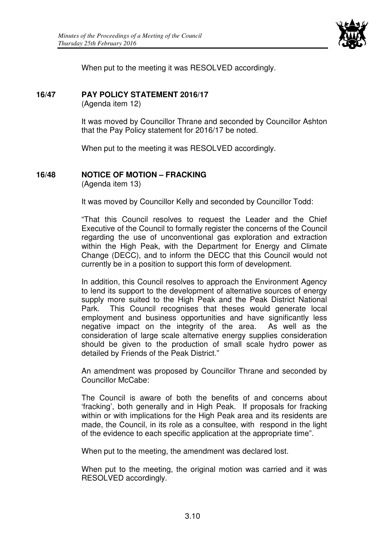

When put to the meeting it was RESOLVED accordingly.

# **16/47 PAY POLICY STATEMENT 2016/17**

(Agenda item 12)

 It was moved by Councillor Thrane and seconded by Councillor Ashton that the Pay Policy statement for 2016/17 be noted.

When put to the meeting it was RESOLVED accordingly.

# **16/48 NOTICE OF MOTION – FRACKING**

(Agenda item 13)

It was moved by Councillor Kelly and seconded by Councillor Todd:

 "That this Council resolves to request the Leader and the Chief Executive of the Council to formally register the concerns of the Council regarding the use of unconventional gas exploration and extraction within the High Peak, with the Department for Energy and Climate Change (DECC), and to inform the DECC that this Council would not currently be in a position to support this form of development.

 In addition, this Council resolves to approach the Environment Agency to lend its support to the development of alternative sources of energy supply more suited to the High Peak and the Peak District National Park. This Council recognises that theses would generate local employment and business opportunities and have significantly less negative impact on the integrity of the area. As well as the consideration of large scale alternative energy supplies consideration should be given to the production of small scale hydro power as detailed by Friends of the Peak District."

 An amendment was proposed by Councillor Thrane and seconded by Councillor McCabe:

 The Council is aware of both the benefits of and concerns about 'fracking', both generally and in High Peak. If proposals for fracking within or with implications for the High Peak area and its residents are made, the Council, in its role as a consultee, with respond in the light of the evidence to each specific application at the appropriate time".

When put to the meeting, the amendment was declared lost.

 When put to the meeting, the original motion was carried and it was RESOLVED accordingly.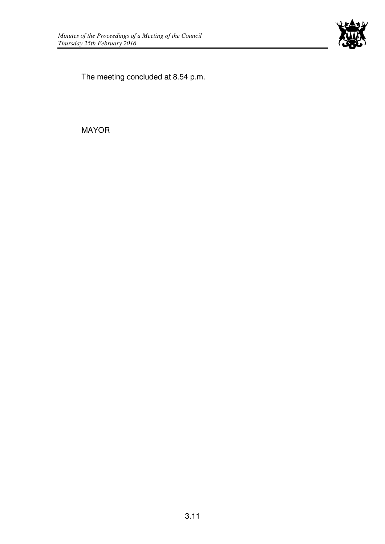

The meeting concluded at 8.54 p.m.

MAYOR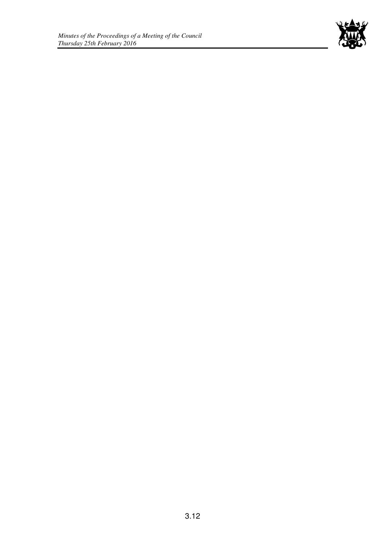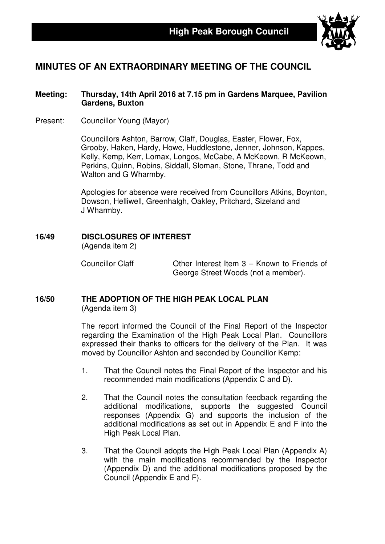

# **MINUTES OF AN EXTRAORDINARY MEETING OF THE COUNCIL**

### **Meeting: Thursday, 14th April 2016 at 7.15 pm in Gardens Marquee, Pavilion Gardens, Buxton**

Present: Councillor Young (Mayor)

Councillors Ashton, Barrow, Claff, Douglas, Easter, Flower, Fox, Grooby, Haken, Hardy, Howe, Huddlestone, Jenner, Johnson, Kappes, Kelly, Kemp, Kerr, Lomax, Longos, McCabe, A McKeown, R McKeown, Perkins, Quinn, Robins, Siddall, Sloman, Stone, Thrane, Todd and Walton and G Wharmby.

Apologies for absence were received from Councillors Atkins, Boynton, Dowson, Helliwell, Greenhalgh, Oakley, Pritchard, Sizeland and J Wharmby.

# **16/49 DISCLOSURES OF INTEREST**

(Agenda item 2)

Councillor Claff **Other Interest Item 3 – Known to Friends of** George Street Woods (not a member).

# **16/50 THE ADOPTION OF THE HIGH PEAK LOCAL PLAN**

(Agenda item 3)

The report informed the Council of the Final Report of the Inspector regarding the Examination of the High Peak Local Plan. Councillors expressed their thanks to officers for the delivery of the Plan. It was moved by Councillor Ashton and seconded by Councillor Kemp:

- 1. That the Council notes the Final Report of the Inspector and his recommended main modifications (Appendix C and D).
- 2. That the Council notes the consultation feedback regarding the additional modifications, supports the suggested Council responses (Appendix G) and supports the inclusion of the additional modifications as set out in Appendix E and F into the High Peak Local Plan.
- 3. That the Council adopts the High Peak Local Plan (Appendix A) with the main modifications recommended by the Inspector (Appendix D) and the additional modifications proposed by the Council (Appendix E and F).